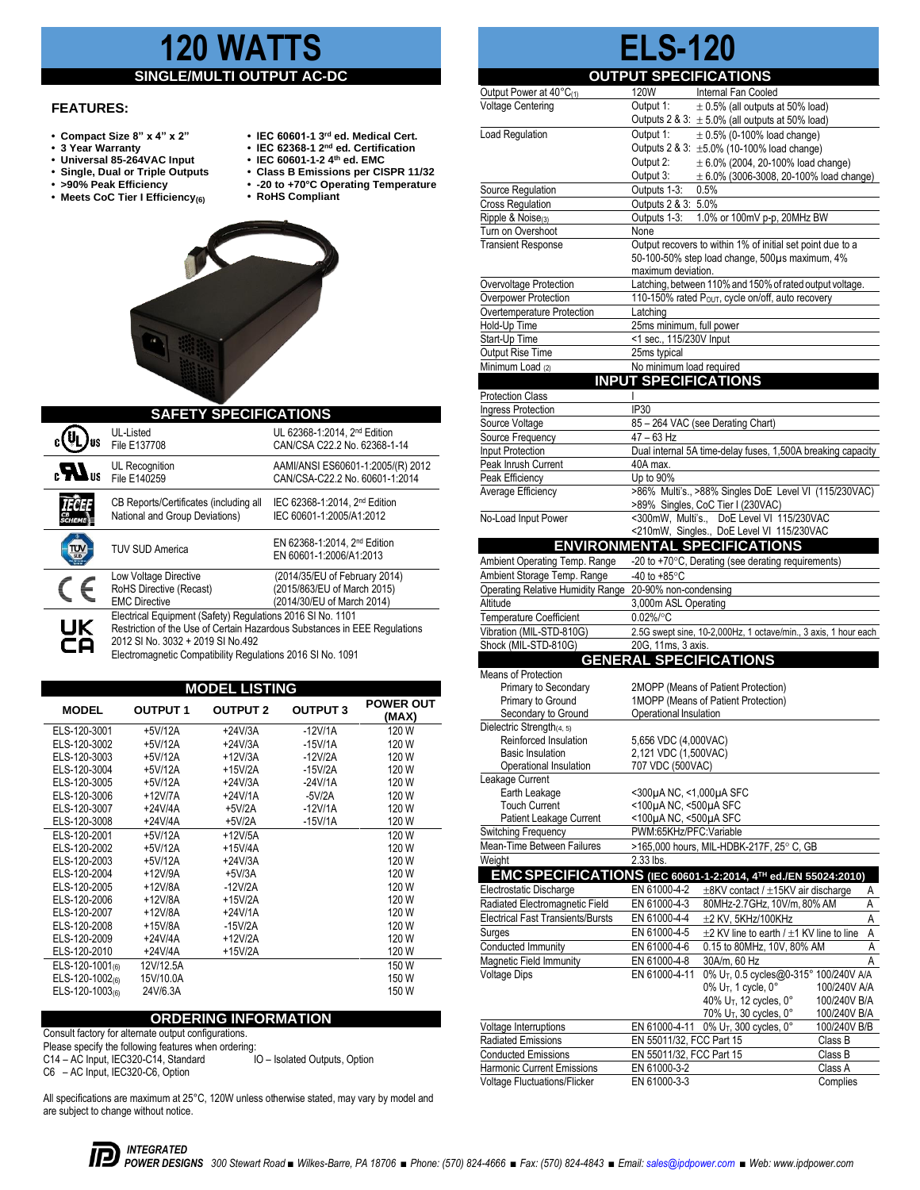# **120 WATTS**

## **SINGLE/MULTI OUTPUT**

### **FEATURES:**

- **Compact Size 8" x 4" x 2" IEC 60601-1 3**
- 
- **3 Year Warranty IEC 62368-1 2 Universal 85-264VAC Input IEC 60601-1-2 4th ed. EMC**
- **Single, Dual or Triple Outputs Class B Emissions per CISPR 11/32** • Single, Dual or Triple Outputs<br>• >90% Peak Efficiency<br>• Meets CoC Tier I Efficiency<sub>(6)</sub>
- **>90% Peak Efficiency -20 to +70°C Operating Temperature**
- 
- **rd ed. Medical Cert.**
- **nd ed. Certification**
- 
- 
- **RoHS Compliant**



| <b>SAFETY SPECIFICATIONS</b>    |                                                                                                                                                                                                                                            |                                                                                            |  |  |  |  |
|---------------------------------|--------------------------------------------------------------------------------------------------------------------------------------------------------------------------------------------------------------------------------------------|--------------------------------------------------------------------------------------------|--|--|--|--|
|                                 | UL-Listed<br>File E137708                                                                                                                                                                                                                  | UL 62368-1:2014. 2 <sup>nd</sup> Edition<br>CAN/CSA C22.2 No. 62368-1-14                   |  |  |  |  |
| $_{\rm c}$ $\mathbf{M}_{\rm u}$ | UL Recognition<br>File E140259                                                                                                                                                                                                             | AAMI/ANSI ES60601-1:2005/(R) 2012<br>CAN/CSA-C22.2 No. 60601-1:2014                        |  |  |  |  |
|                                 | CB Reports/Certificates (including all<br>National and Group Deviations)                                                                                                                                                                   | IEC 62368-1:2014, 2 <sup>nd</sup> Edition<br>IEC 60601-1:2005/A1:2012                      |  |  |  |  |
|                                 | <b>TUV SUD America</b>                                                                                                                                                                                                                     | EN 62368-1:2014, 2 <sup>nd</sup> Edition<br>EN 60601-1:2006/A1:2013                        |  |  |  |  |
|                                 | Low Voltage Directive<br>RoHS Directive (Recast)<br><b>EMC Directive</b>                                                                                                                                                                   | (2014/35/EU of February 2014)<br>(2015/863/EU of March 2015)<br>(2014/30/EU of March 2014) |  |  |  |  |
| UK<br>cА                        | Electrical Equipment (Safety) Regulations 2016 SI No. 1101<br>Restriction of the Use of Certain Hazardous Substances in EEE Regulations<br>2012 SI No. 3032 + 2019 SI No.492<br>Electromagnetic Compatibility Regulations 2016 SI No. 1091 |                                                                                            |  |  |  |  |

| <b>MODEL LISTING</b> |                 |                 |                 |                           |  |  |  |
|----------------------|-----------------|-----------------|-----------------|---------------------------|--|--|--|
| <b>MODEL</b>         | <b>OUTPUT 1</b> | <b>OUTPUT 2</b> | <b>OUTPUT 3</b> | <b>POWER OUT</b><br>(MAX) |  |  |  |
| ELS-120-3001         | +5V/12A         | $+24V/3A$       | $-12V/1A$       | 120 W                     |  |  |  |
| ELS-120-3002         | +5V/12A         | $+24V/3A$       | $-15V/1A$       | 120 W                     |  |  |  |
| ELS-120-3003         | +5V/12A         | $+12V/3A$       | $-12V/2A$       | 120 W                     |  |  |  |
| ELS-120-3004         | +5V/12A         | $+15V/2A$       | $-15V/2A$       | 120 W                     |  |  |  |
| ELS-120-3005         | +5V/12A         | $+24V/3A$       | $-24V/1A$       | 120 W                     |  |  |  |
| ELS-120-3006         | $+12V/7A$       | $+24V/1A$       | $-5V/2A$        | 120 W                     |  |  |  |
| ELS-120-3007         | $+24V/4A$       | $+5V/2A$        | $-12V/1A$       | 120 W                     |  |  |  |
| ELS-120-3008         | $+24V/4A$       | $+5V/2A$        | $-15V/1A$       | 120 W                     |  |  |  |
| ELS-120-2001         | $+5V/12A$       | $+12V/5A$       |                 | 120 W                     |  |  |  |
| ELS-120-2002         | +5V/12A         | $+15V/4A$       |                 | 120 W                     |  |  |  |
| ELS-120-2003         | +5V/12A         | $+24V/3A$       |                 | 120 W                     |  |  |  |
| ELS-120-2004         | $+12V/9A$       | $+5V/3A$        |                 | 120 W                     |  |  |  |
| ELS-120-2005         | $+12V/8A$       | $-12V/2A$       |                 | 120 W                     |  |  |  |
| ELS-120-2006         | +12V/8A         | $+15V/2A$       |                 | 120 W                     |  |  |  |
| ELS-120-2007         | $+12V/8A$       | +24V/1A         |                 | 120 W                     |  |  |  |
| ELS-120-2008         | +15V/8A         | $-15V/2A$       |                 | 120 W                     |  |  |  |
| ELS-120-2009         | $+24V/4A$       | $+12V/2A$       |                 | 120 W                     |  |  |  |
| ELS-120-2010         | +24V/4A         | $+15V/2A$       |                 | 120 W                     |  |  |  |
| ELS-120-1001(6)      | 12V/12.5A       |                 |                 | 150 W                     |  |  |  |
| ELS-120-1002(6)      | 15V/10.0A       |                 |                 | 150 W                     |  |  |  |
| ELS-120-1003(6)      | 24V/6.3A        |                 |                 | 150 W                     |  |  |  |

#### **ORDERING INFORMATION**

Consult factory for alternate output configurations.

Please specify the following features when ordering:<br>C14 - AC Input, IEC320-C14, Standard <br>IO - Isolated Outputs, Option C14 – AC Input, IEC320-C14, Standard

C6 – AC Input, IEC320-C6, Option

All specifications are maximum at 25°C, 120W unless otherwise stated, may vary by model and are subject to change without notice.

|                                                    | . .                                          | ॱ▃∨                                                                                                      |
|----------------------------------------------------|----------------------------------------------|----------------------------------------------------------------------------------------------------------|
|                                                    | <b>OUTPUT SPECIFICATIONS</b>                 |                                                                                                          |
| Output Power at 40°C(1)                            | 120W                                         | Internal Fan Cooled                                                                                      |
| <b>Voltage Centering</b>                           | Output 1:                                    | $\pm$ 0.5% (all outputs at 50% load)                                                                     |
|                                                    |                                              | Outputs 2 & 3: $\pm$ 5.0% (all outputs at 50% load)                                                      |
| Load Regulation                                    | Output 1:                                    | $\pm$ 0.5% (0-100% load change)                                                                          |
|                                                    | Output 2:                                    | Outputs 2 & 3: ±5.0% (10-100% load change)<br>$\pm 6.0\%$ (2004, 20-100% load change)                    |
|                                                    | Output 3:                                    | $\pm$ 6.0% (3006-3008, 20-100% load change)                                                              |
| Source Regulation                                  | Outputs 1-3:                                 | 0.5%                                                                                                     |
| <b>Cross Regulation</b>                            | Outputs 2 & 3: 5.0%                          |                                                                                                          |
| Ripple & Noise <sub>(3)</sub>                      | Outputs 1-3:                                 | 1.0% or 100mV p-p, 20MHz BW                                                                              |
| Turn on Overshoot                                  | None                                         |                                                                                                          |
| <b>Transient Response</b>                          |                                              | Output recovers to within 1% of initial set point due to a                                               |
|                                                    | maximum deviation.                           | 50-100-50% step load change, 500µs maximum, 4%                                                           |
| Overvoltage Protection                             |                                              | Latching, between 110% and 150% of rated output voltage.                                                 |
| Overpower Protection                               |                                              | 110-150% rated P <sub>OUT</sub> , cycle on/off, auto recovery                                            |
| Overtemperature Protection                         | Latching                                     |                                                                                                          |
| Hold-Up Time                                       | 25ms minimum, full power                     |                                                                                                          |
| Start-Up Time                                      | <1 sec., 115/230V Input                      |                                                                                                          |
| Output Rise Time                                   | 25ms typical                                 |                                                                                                          |
| Minimum Load (2)                                   | No minimum load required                     |                                                                                                          |
|                                                    | <b>INPUT SPECIFICATIONS</b>                  |                                                                                                          |
| <b>Protection Class</b>                            |                                              |                                                                                                          |
| Ingress Protection<br>Source Voltage               | IP30                                         | 85 - 264 VAC (see Derating Chart)                                                                        |
| Source Frequency                                   | $47 - 63$ Hz                                 |                                                                                                          |
| <b>Input Protection</b>                            |                                              | Dual internal 5A time-delay fuses, 1,500A breaking capacity                                              |
| Peak Inrush Current                                | 40A max.                                     |                                                                                                          |
| Peak Efficiency                                    | Up to 90%                                    |                                                                                                          |
| Average Efficiency                                 |                                              | >86% Multi's., >88% Singles DoE Level VI (115/230VAC)                                                    |
|                                                    |                                              | >89% Singles, CoC Tier I (230VAC)                                                                        |
| No-Load Input Power                                |                                              | <300mW, Multi's., DoE Level VI 115/230VAC                                                                |
|                                                    |                                              | <210mW, Singles., DoE Level VI 115/230VAC<br><b>ENVIRONMENTAL SPECIFICATIONS</b>                         |
| Ambient Operating Temp. Range                      |                                              | -20 to +70°C, Derating (see derating requirements)                                                       |
|                                                    |                                              |                                                                                                          |
|                                                    |                                              |                                                                                                          |
| Ambient Storage Temp. Range                        | -40 to $+85^{\circ}$ C                       |                                                                                                          |
| Operating Relative Humidity Range<br>Altitude      | 20-90% non-condensing                        |                                                                                                          |
| <b>Temperature Coefficient</b>                     | 3,000m ASL Operating<br>0.02%/°C             |                                                                                                          |
| Vibration (MIL-STD-810G)                           |                                              | 2.5G swept sine, 10-2,000Hz, 1 octave/min., 3 axis, 1 hour each                                          |
| Shock (MIL-STD-810G)                               | 20G, 11ms, 3 axis.                           |                                                                                                          |
|                                                    | <b>GENERAL SPECIFICATIONS</b>                |                                                                                                          |
| Means of Protection                                |                                              |                                                                                                          |
| Primary to Secondary                               |                                              | 2MOPP (Means of Patient Protection)                                                                      |
| Primary to Ground                                  |                                              | 1MOPP (Means of Patient Protection)                                                                      |
| Secondary to Ground                                | Operational Insulation                       |                                                                                                          |
| Dielectric Strength(4, 5)                          |                                              |                                                                                                          |
| Reinforced Insulation<br><b>Basic Insulation</b>   | 5,656 VDC (4,000VAC)<br>2,121 VDC (1,500VAC) |                                                                                                          |
| Operational Insulation                             | 707 VDC (500VAC)                             |                                                                                                          |
| Leakage Current                                    |                                              |                                                                                                          |
| Earth Leakage                                      | <300µA NC, <1,000µA SFC                      |                                                                                                          |
| <b>Touch Current</b>                               | <100µA NC, <500µA SFC                        |                                                                                                          |
| Patient Leakage Current                            | <100µA NC, <500µA SFC                        |                                                                                                          |
| Switching Frequency<br>Mean-Time Between Failures  | PWM:65KHz/PFC:Variable                       | >165,000 hours, MIL-HDBK-217F, 25° C, GB                                                                 |
| Weight                                             | 2.33 lbs.                                    |                                                                                                          |
|                                                    |                                              | EMC SPECIFICATIONS (IEC 60601-1-2:2014, 4TH ed./EN 55024:2010)                                           |
| Electrostatic Discharge                            | EN 61000-4-2                                 | ±8KV contact / ±15KV air discharge<br>Α                                                                  |
| Radiated Electromagnetic Field                     | EN 61000-4-3                                 | 80MHz-2.7GHz, 10V/m, 80% AM<br>Α                                                                         |
| <b>Electrical Fast Transients/Bursts</b>           | EN 61000-4-4                                 | А<br>$\pm 2$ KV, 5KHz/100KHz                                                                             |
| Surges                                             | EN 61000-4-5                                 | А<br>$\pm 2$ KV line to earth / $\pm 1$ KV line to line                                                  |
| Conducted Immunity                                 | EN 61000-4-6                                 | 0.15 to 80MHz, 10V, 80% AM<br>А                                                                          |
| Magnetic Field Immunity                            | EN 61000-4-8                                 | 30A/m, 60 Hz<br>Α                                                                                        |
| <b>Voltage Dips</b>                                | EN 61000-4-11                                | 0% U <sub>T</sub> , 0.5 cycles@0-315° 100/240V A/A                                                       |
|                                                    |                                              | 0% U <sub>T</sub> , 1 cycle, 0°<br>100/240V A/A                                                          |
|                                                    |                                              | 40% U <sub>T</sub> , 12 cycles, 0°<br>100/240V B/A<br>70% U <sub>T</sub> , 30 cycles, 0°<br>100/240V B/A |
| Voltage Interruptions<br><b>Radiated Emissions</b> | EN 61000-4-11<br>FN 55011/32 FCC Part 15     | $0\%$ U <sub>T</sub> , 300 cycles, $0^{\circ}$<br>100/240V B/B<br>Class B                                |

**ELS-120**

|                                     | $70\%$ U <sub>T</sub> , 30 cycles, $0^{\circ}$   | 100/240V B/A |
|-------------------------------------|--------------------------------------------------|--------------|
| Voltage Interruptions               | EN 61000-4-11 0% U <sub>T</sub> , 300 cycles, 0° | 100/240V B/B |
| <b>Radiated Emissions</b>           | EN 55011/32. FCC Part 15                         | Class B      |
| <b>Conducted Emissions</b>          | EN 55011/32. FCC Part 15                         | Class B      |
| <b>Harmonic Current Emissions</b>   | EN 61000-3-2                                     | Class A      |
| <b>Voltage Fluctuations/Flicker</b> | EN 61000-3-3                                     | Complies     |